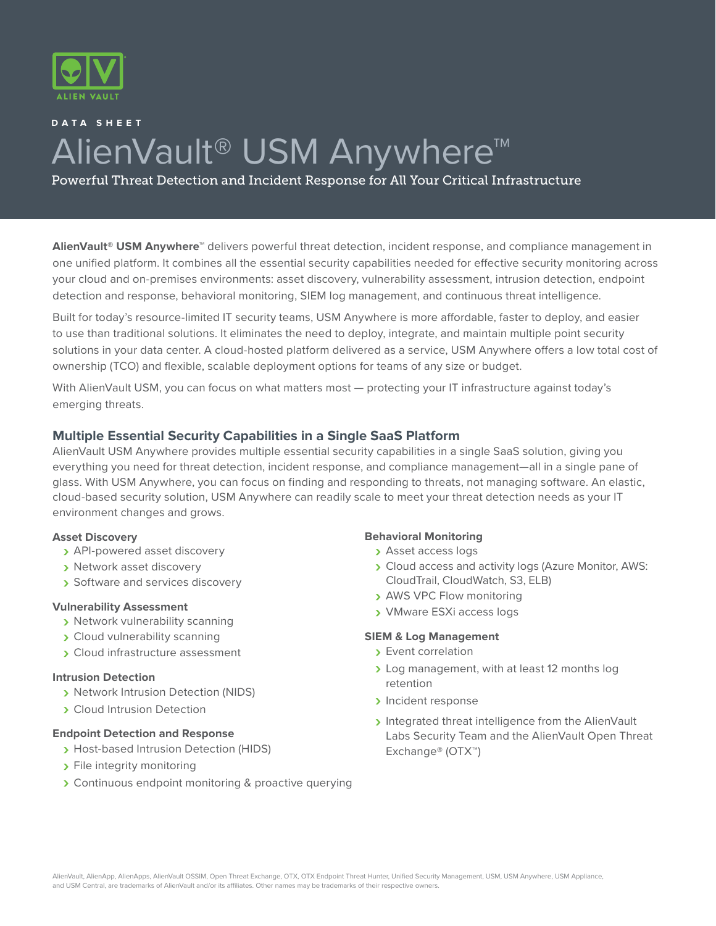

# **DATA SHEET** AlienVault<sup>®</sup> USM Anywhere<sup>™</sup>

Powerful Threat Detection and Incident Response for All Your Critical Infrastructure

**AlienVault® USM Anywhere™** delivers powerful threat detection, incident response, and compliance management in one unified platform. It combines all the essential security capabilities needed for effective security monitoring across your cloud and on-premises environments: asset discovery, vulnerability assessment, intrusion detection, endpoint detection and response, behavioral monitoring, SIEM log management, and continuous threat intelligence.

Built for today's resource-limited IT security teams, USM Anywhere is more affordable, faster to deploy, and easier to use than traditional solutions. It eliminates the need to deploy, integrate, and maintain multiple point security solutions in your data center. A cloud-hosted platform delivered as a service, USM Anywhere offers a low total cost of ownership (TCO) and flexible, scalable deployment options for teams of any size or budget.

With AlienVault USM, you can focus on what matters most — protecting your IT infrastructure against today's emerging threats.

# **Multiple Essential Security Capabilities in a Single SaaS Platform**

AlienVault USM Anywhere provides multiple essential security capabilities in a single SaaS solution, giving you everything you need for threat detection, incident response, and compliance management—all in a single pane of glass. With USM Anywhere, you can focus on finding and responding to threats, not managing software. An elastic, cloud-based security solution, USM Anywhere can readily scale to meet your threat detection needs as your IT environment changes and grows.

## **Asset Discovery**

- **›** API-powered asset discovery
- **›** Network asset discovery
- **›** Software and services discovery

## **Vulnerability Assessment**

- **›** Network vulnerability scanning
- **›** Cloud vulnerability scanning
- **›** Cloud infrastructure assessment

## **Intrusion Detection**

- **›** Network Intrusion Detection (NIDS)
- **›** Cloud Intrusion Detection

# **Endpoint Detection and Response**

- **›** Host-based Intrusion Detection (HIDS)
- **›** File integrity monitoring
- **›** Continuous endpoint monitoring & proactive querying

## **Behavioral Monitoring**

- **›** Asset access logs
- **›** Cloud access and activity logs (Azure Monitor, AWS: CloudTrail, CloudWatch, S3, ELB)
- **›** AWS VPC Flow monitoring
- **›** VMware ESXi access logs

## **SIEM & Log Management**

- **›** Event correlation
- **›** Log management, with at least 12 months log retention
- **›** Incident response
- **›** Integrated threat intelligence from the AlienVault Labs Security Team and the AlienVault Open Threat Exchange® (OTX™)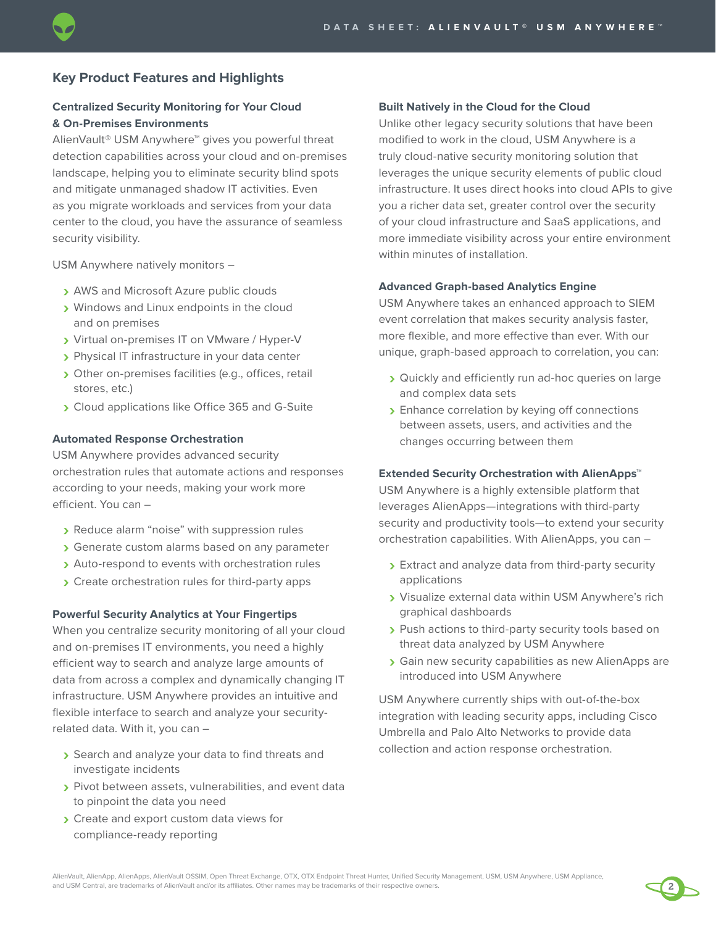# **Key Product Features and Highlights**

## **Centralized Security Monitoring for Your Cloud & On-Premises Environments**

AlienVault® USM Anywhere™ gives you powerful threat detection capabilities across your cloud and on-premises landscape, helping you to eliminate security blind spots and mitigate unmanaged shadow IT activities. Even as you migrate workloads and services from your data center to the cloud, you have the assurance of seamless security visibility.

USM Anywhere natively monitors –

- **›** AWS and Microsoft Azure public clouds
- **›** Windows and Linux endpoints in the cloud and on premises
- **›** Virtual on-premises IT on VMware / Hyper-V
- **›** Physical IT infrastructure in your data center
- **›** Other on-premises facilities (e.g., offices, retail stores, etc.)
- **›** Cloud applications like Office 365 and G-Suite

#### **Automated Response Orchestration**

USM Anywhere provides advanced security orchestration rules that automate actions and responses according to your needs, making your work more efficient. You can –

- **›** Reduce alarm "noise" with suppression rules
- **›** Generate custom alarms based on any parameter
- **›** Auto-respond to events with orchestration rules
- **›** Create orchestration rules for third-party apps

#### **Powerful Security Analytics at Your Fingertips**

When you centralize security monitoring of all your cloud and on-premises IT environments, you need a highly efficient way to search and analyze large amounts of data from across a complex and dynamically changing IT infrastructure. USM Anywhere provides an intuitive and flexible interface to search and analyze your securityrelated data. With it, you can –

- **›** Search and analyze your data to find threats and investigate incidents
- **›** Pivot between assets, vulnerabilities, and event data to pinpoint the data you need
- **›** Create and export custom data views for compliance-ready reporting

#### **Built Natively in the Cloud for the Cloud**

Unlike other legacy security solutions that have been modified to work in the cloud, USM Anywhere is a truly cloud-native security monitoring solution that leverages the unique security elements of public cloud infrastructure. It uses direct hooks into cloud APIs to give you a richer data set, greater control over the security of your cloud infrastructure and SaaS applications, and more immediate visibility across your entire environment within minutes of installation.

#### **Advanced Graph-based Analytics Engine**

USM Anywhere takes an enhanced approach to SIEM event correlation that makes security analysis faster, more flexible, and more effective than ever. With our unique, graph-based approach to correlation, you can:

- **›** Quickly and efficiently run ad-hoc queries on large and complex data sets
- **›** Enhance correlation by keying off connections between assets, users, and activities and the changes occurring between them

#### **Extended Security Orchestration with AlienApps™**

USM Anywhere is a highly extensible platform that leverages AlienApps—integrations with third-party security and productivity tools—to extend your security orchestration capabilities. With AlienApps, you can –

- **›** Extract and analyze data from third-party security applications
- **›** Visualize external data within USM Anywhere's rich graphical dashboards
- **›** Push actions to third-party security tools based on threat data analyzed by USM Anywhere
- **›** Gain new security capabilities as new AlienApps are introduced into USM Anywhere

2

USM Anywhere currently ships with out-of-the-box integration with leading security apps, including Cisco Umbrella and Palo Alto Networks to provide data collection and action response orchestration.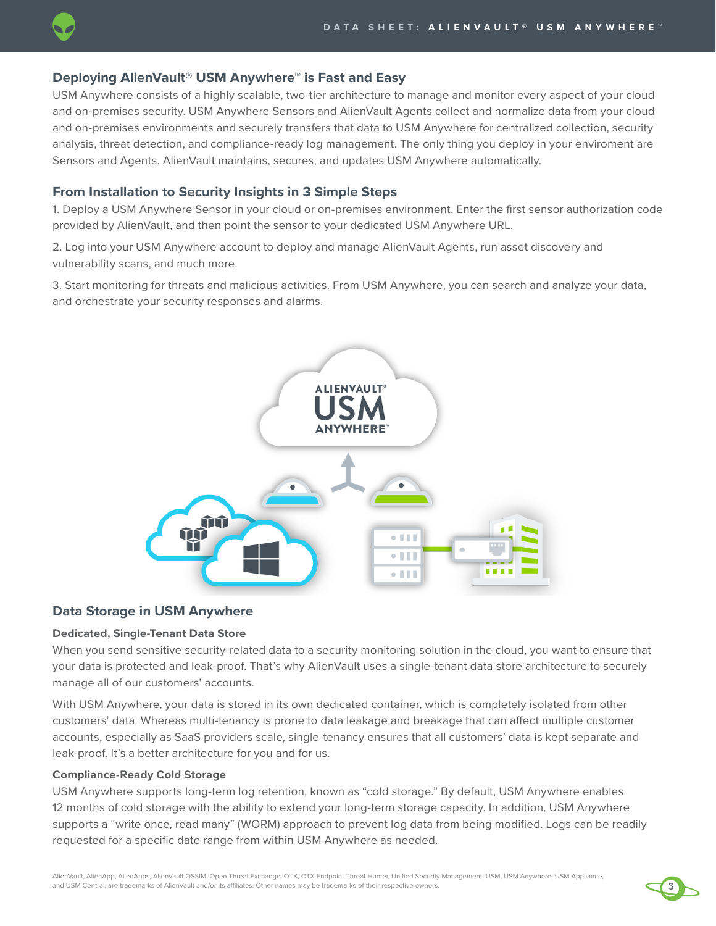

## **Deploying AlienVault® USM Anywhere™ is Fast and Easy**

USM Anywhere consists of a highly scalable, two-tier architecture to manage and monitor every aspect of your cloud and on-premises security. USM Anywhere Sensors and AlienVault Agents collect and normalize data from your cloud and on-premises environments and securely transfers that data to USM Anywhere for centralized collection, security analysis, threat detection, and compliance-ready log management. The only thing you deploy in your enviroment are Sensors and Agents. AlienVault maintains, secures, and updates USM Anywhere automatically.

# **From Installation to Security Insights in 3 Simple Steps**

1. Deploy a USM Anywhere Sensor in your cloud or on-premises environment. Enter the first sensor authorization code provided by AlienVault, and then point the sensor to your dedicated USM Anywhere URL.

2. Log into your USM Anywhere account to deploy and manage AlienVault Agents, run asset discovery and vulnerability scans, and much more.

3. Start monitoring for threats and malicious activities. From USM Anywhere, you can search and analyze your data, and orchestrate your security responses and alarms.



## **Data Storage in USM Anywhere**

### **Dedicated, Single-Tenant Data Store**

When you send sensitive security-related data to a security monitoring solution in the cloud, you want to ensure that your data is protected and leak-proof. That's why AlienVault uses a single-tenant data store architecture to securely manage all of our customers' accounts.

With USM Anywhere, your data is stored in its own dedicated container, which is completely isolated from other customers' data. Whereas multi-tenancy is prone to data leakage and breakage that can affect multiple customer accounts, especially as SaaS providers scale, single-tenancy ensures that all customers' data is kept separate and leak-proof. It's a better architecture for you and for us.

#### **Compliance-Ready Cold Storage**

USM Anywhere supports long-term log retention, known as "cold storage." By default, USM Anywhere enables 12 months of cold storage with the ability to extend your long-term storage capacity. In addition, USM Anywhere supports a "write once, read many" (WORM) approach to prevent log data from being modified. Logs can be readily requested for a specific date range from within USM Anywhere as needed.

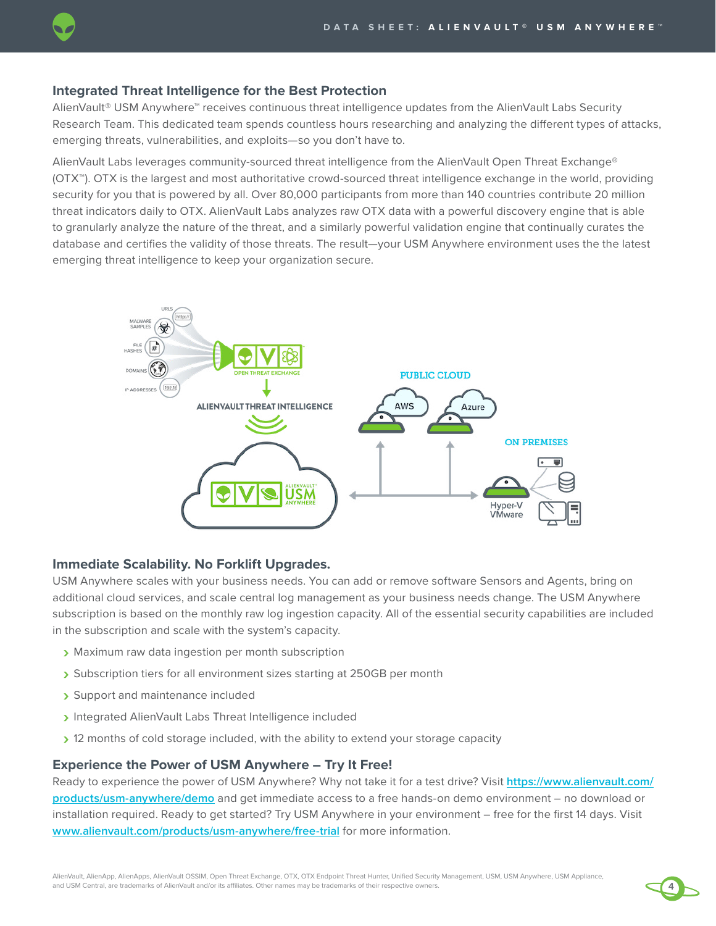# **Integrated Threat Intelligence for the Best Protection**

AlienVault® USM Anywhere™ receives continuous threat intelligence updates from the AlienVault Labs Security Research Team. This dedicated team spends countless hours researching and analyzing the different types of attacks, emerging threats, vulnerabilities, and exploits—so you don't have to.

AlienVault Labs leverages community-sourced threat intelligence from the AlienVault Open Threat Exchange® (OTX™). OTX is the largest and most authoritative crowd-sourced threat intelligence exchange in the world, providing security for you that is powered by all. Over 80,000 participants from more than 140 countries contribute 20 million threat indicators daily to OTX. AlienVault Labs analyzes raw OTX data with a powerful discovery engine that is able to granularly analyze the nature of the threat, and a similarly powerful validation engine that continually curates the database and certifies the validity of those threats. The result—your USM Anywhere environment uses the the latest emerging threat intelligence to keep your organization secure.



# **Immediate Scalability. No Forklift Upgrades.**

USM Anywhere scales with your business needs. You can add or remove software Sensors and Agents, bring on additional cloud services, and scale central log management as your business needs change. The USM Anywhere subscription is based on the monthly raw log ingestion capacity. All of the essential security capabilities are included in the subscription and scale with the system's capacity.

- **›** Maximum raw data ingestion per month subscription
- **›** Subscription tiers for all environment sizes starting at 250GB per month
- **›** Support and maintenance included
- **›** Integrated AlienVault Labs Threat Intelligence included
- **›** 12 months of cold storage included, with the ability to extend your storage capacity

# **Experience the Power of USM Anywhere – Try It Free!**

Ready to experience the power of USM Anywhere? Why not take it for a test drive? Visit **[https://www.alienvault.com/](https://www.alienvault.com/products/usm-anywhere/demo) [products/usm-anywhere/demo](https://www.alienvault.com/products/usm-anywhere/demo)** and get immediate access to a free hands-on demo environment – no download or installation required. Ready to get started? Try USM Anywhere in your environment – free for the first 14 days. Visit **[www.alienvault.com/products/usm-anywhere/free-trial](https://www.alienvault.com/products/usm-anywhere/free-trial)** for more information.